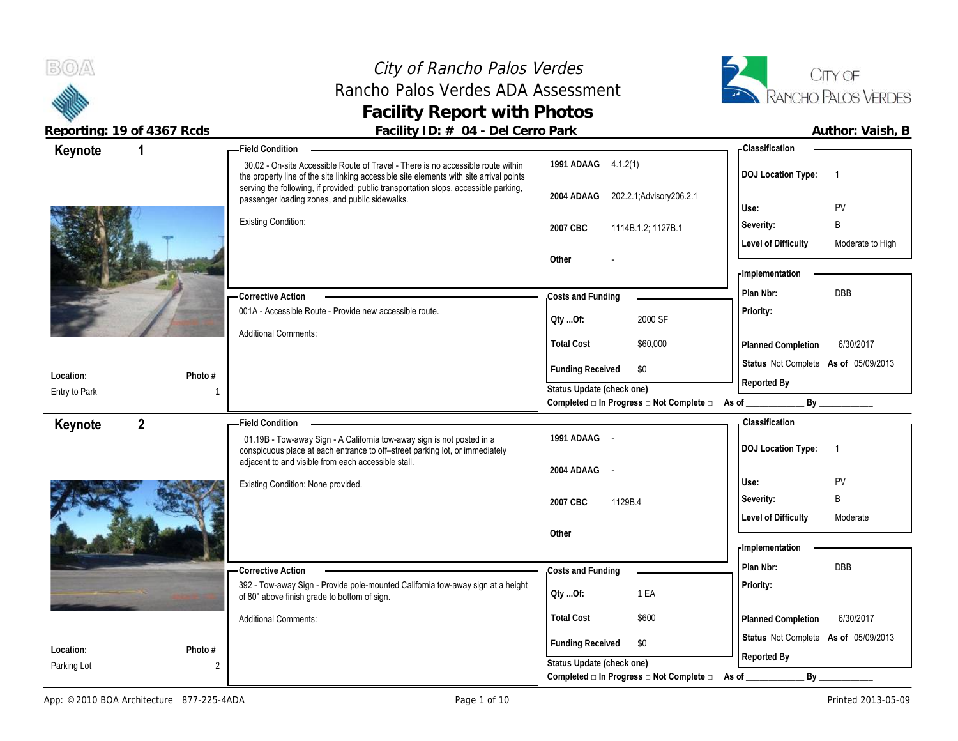### City of Rancho Palos Verdes Rancho Palos Verdes ADA Assessment **Facility Report with Photos**



| Keynote       | $\mathbf 1$    | - Field Condition                                                                                                                                                           |                                                          | <b>Classification</b>                                |
|---------------|----------------|-----------------------------------------------------------------------------------------------------------------------------------------------------------------------------|----------------------------------------------------------|------------------------------------------------------|
|               |                | 30.02 - On-site Accessible Route of Travel - There is no accessible route within<br>the property line of the site linking accessible site elements with site arrival points | 1991 ADAAG 4.1.2(1)                                      | <b>DOJ Location Type:</b><br>$\overline{1}$          |
|               |                | serving the following, if provided: public transportation stops, accessible parking,<br>passenger loading zones, and public sidewalks.                                      | 202.2.1; Advisory 206.2.1<br>2004 ADAAG                  | PV<br>Use:                                           |
|               |                | <b>Existing Condition:</b>                                                                                                                                                  | 2007 CBC                                                 | B<br>Severity:                                       |
|               |                |                                                                                                                                                                             | 1114B.1.2; 1127B.1                                       | <b>Level of Difficulty</b><br>Moderate to High       |
|               |                |                                                                                                                                                                             | Other                                                    |                                                      |
|               |                |                                                                                                                                                                             |                                                          | - Implementation                                     |
|               |                | -Corrective Action                                                                                                                                                          | Costs and Funding                                        | <b>DBB</b><br>Plan Nbr:                              |
|               |                | 001A - Accessible Route - Provide new accessible route.                                                                                                                     | 2000 SF                                                  | Priority:                                            |
|               |                | <b>Additional Comments:</b>                                                                                                                                                 | Oty Of:                                                  |                                                      |
|               |                |                                                                                                                                                                             | <b>Total Cost</b><br>\$60,000                            | 6/30/2017<br>Planned Completion                      |
| Location:     | Photo #        |                                                                                                                                                                             | <b>Funding Received</b><br>\$0                           | Status Not Complete As of 05/09/2013                 |
| Entry to Park |                |                                                                                                                                                                             | Status Update (check one)                                | Reported By                                          |
|               |                |                                                                                                                                                                             | Completed □ In Progress □ Not Complete □ As of _________ | By _____________                                     |
| Keynote       | $\overline{2}$ | <b>Field Condition</b>                                                                                                                                                      |                                                          | <b>Classification</b>                                |
|               |                | 01.19B - Tow-away Sign - A California tow-away sign is not posted in a<br>conspicuous place at each entrance to off-street parking lot, or immediately                      | 1991 ADAAG -                                             | <b>DOJ Location Type:</b><br>$\overline{\mathbf{1}}$ |
|               |                | adjacent to and visible from each accessible stall.                                                                                                                         | 2004 ADAAG -                                             |                                                      |
|               |                | Existing Condition: None provided.                                                                                                                                          |                                                          | PV<br>Use:                                           |
|               |                |                                                                                                                                                                             | 1129B.4<br>2007 CBC                                      | B<br>Severity:                                       |
|               |                |                                                                                                                                                                             |                                                          | <b>Level of Difficulty</b><br>Moderate               |
|               |                |                                                                                                                                                                             | Other                                                    |                                                      |
|               |                |                                                                                                                                                                             |                                                          | - Implementation                                     |
|               |                | - Corrective Action                                                                                                                                                         | Costs and Funding                                        | Plan Nbr:<br><b>DBB</b>                              |
|               |                | 392 - Tow-away Sign - Provide pole-mounted California tow-away sign at a height<br>of 80" above finish grade to bottom of sign.                                             | 1 EA<br>QtyOf:                                           | Priority:                                            |
|               |                | <b>Additional Comments:</b>                                                                                                                                                 | <b>Total Cost</b><br>\$600                               | 6/30/2017<br>Planned Completion                      |
|               |                |                                                                                                                                                                             | <b>Funding Received</b><br>\$0                           | Status Not Complete As of 05/09/2013                 |
| Location:     | Photo #        |                                                                                                                                                                             | Status Update (check one)                                | Reported By                                          |
| Parking Lot   | $\overline{2}$ |                                                                                                                                                                             | Completed □ In Progress □ Not Complete □                 | By<br>As of                                          |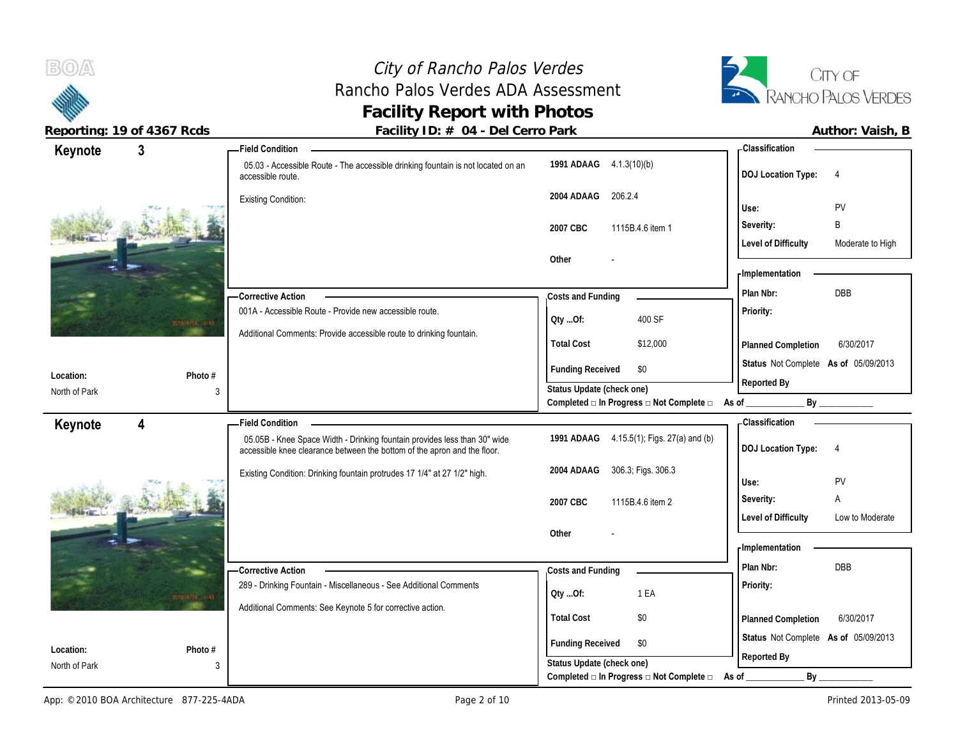# City of Rancho Palos Verdes Rancho Palos Verdes ADA Assessment **Facility Report with Photos**



| Keynote                    | $\mathbf{3}$        | <b>Field Condition</b>                                                                                                                                |                                                  | -Classification                                |
|----------------------------|---------------------|-------------------------------------------------------------------------------------------------------------------------------------------------------|--------------------------------------------------|------------------------------------------------|
|                            |                     | 05.03 - Accessible Route - The accessible drinking fountain is not located on an<br>accessible route.                                                 | 1991 ADAAG 4.1.3(10)(b)                          | <b>DOJ Location Type:</b><br>$\overline{4}$    |
|                            |                     | <b>Existing Condition:</b>                                                                                                                            | 2004 ADAAG<br>206.2.4                            | <b>PV</b><br>Use:                              |
|                            |                     |                                                                                                                                                       | 2007 CBC<br>1115B.4.6 item 1                     | B<br>Severity:                                 |
|                            |                     |                                                                                                                                                       |                                                  | <b>Level of Difficulty</b><br>Moderate to High |
|                            |                     |                                                                                                                                                       | Other                                            |                                                |
|                            |                     |                                                                                                                                                       |                                                  | - Implementation                               |
|                            |                     | - Corrective Action                                                                                                                                   | Costs and Funding                                | DBB<br>Plan Nbr:                               |
|                            | <b>Amulti Title</b> | 001A - Accessible Route - Provide new accessible route.                                                                                               | 400 SF<br>QtyOf:                                 | Priority:                                      |
|                            |                     | Additional Comments: Provide accessible route to drinking fountain.                                                                                   | <b>Total Cost</b><br>\$12,000                    | 6/30/2017<br><b>Planned Completion</b>         |
| Location:                  | Photo #             |                                                                                                                                                       | <b>Funding Received</b><br>\$0                   | Status Not Complete As of 05/09/2013           |
| North of Park              | 3                   |                                                                                                                                                       | Status Update (check one)                        | Reported By                                    |
|                            |                     |                                                                                                                                                       | Completed □ In Progress □ Not Complete □ As of _ | By                                             |
|                            |                     |                                                                                                                                                       |                                                  | <b>Classification</b>                          |
| Keynote                    | 4                   | <b>Field Condition</b>                                                                                                                                |                                                  |                                                |
|                            |                     | 05.05B - Knee Space Width - Drinking fountain provides less than 30" wide<br>accessible knee clearance between the bottom of the apron and the floor. | 1991 ADAAG 4.15.5(1); Figs. 27(a) and (b)        | <b>DOJ Location Type:</b><br>$\overline{4}$    |
|                            |                     |                                                                                                                                                       | 306.3, Figs. 306.3<br>2004 ADAAG                 |                                                |
|                            |                     | Existing Condition: Drinking fountain protrudes 17 1/4" at 27 1/2" high.                                                                              |                                                  | PV<br>Use:                                     |
|                            |                     |                                                                                                                                                       | 2007 CBC<br>1115B.4.6 item 2                     | Severity:<br>A                                 |
|                            |                     |                                                                                                                                                       |                                                  | <b>Level of Difficulty</b><br>Low to Moderate  |
|                            |                     |                                                                                                                                                       | Other                                            | - Implementation                               |
|                            |                     |                                                                                                                                                       |                                                  | Plan Nbr:<br><b>DBB</b>                        |
|                            |                     | - Corrective Action<br>289 - Drinking Fountain - Miscellaneous - See Additional Comments                                                              | Costs and Funding                                | Priority:                                      |
|                            | commodition as      |                                                                                                                                                       | 1 EA<br>Qty Of:                                  |                                                |
|                            |                     | Additional Comments: See Keynote 5 for corrective action.                                                                                             | <b>Total Cost</b><br>\$0                         | Planned Completion<br>6/30/2017                |
|                            |                     |                                                                                                                                                       | <b>Funding Received</b><br>\$0                   | Status Not Complete As of 05/09/2013           |
| Location:<br>North of Park | Photo #<br>3        |                                                                                                                                                       | Status Update (check one)                        | Reported By                                    |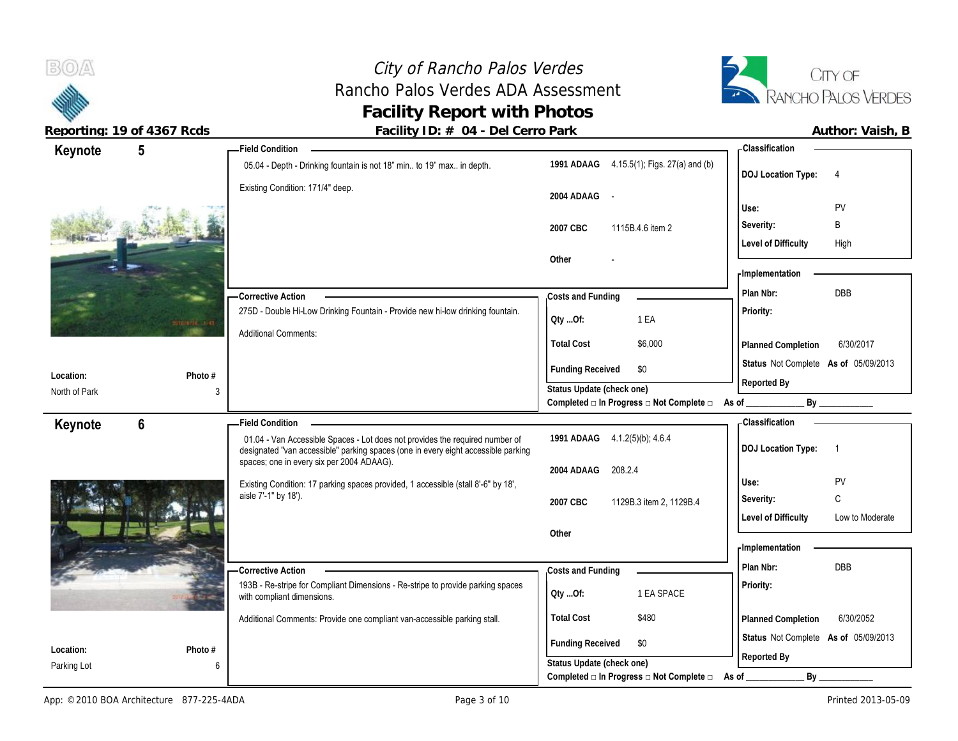# City of Rancho Palos Verdes City of Rancho Palos Verdes<br>
Rancho Palos Verdes ADA Assessment<br>
RANCHO PALOS VERDES **Facility Report with Photos**



| Keynote       | $5\overline{)}$     | <b>Field Condition</b>                                                                                                                                            |                                                                                     | - Classification                              |
|---------------|---------------------|-------------------------------------------------------------------------------------------------------------------------------------------------------------------|-------------------------------------------------------------------------------------|-----------------------------------------------|
|               |                     | 05.04 - Depth - Drinking fountain is not 18" min to 19" max in depth.                                                                                             | 1991 ADAAG 4.15.5(1); Figs. 27(a) and (b)                                           | <b>DOJ Location Type:</b><br>$\overline{4}$   |
|               |                     | Existing Condition: 171/4" deep.                                                                                                                                  | 2004 ADAAG<br>$\sim$ $-$                                                            | PV<br>Use:                                    |
|               |                     |                                                                                                                                                                   |                                                                                     | B<br>Severity:                                |
|               |                     |                                                                                                                                                                   | 2007 CBC<br>1115B.4.6 item 2                                                        | <b>Level of Difficulty</b><br>High            |
|               |                     |                                                                                                                                                                   | Other                                                                               |                                               |
|               |                     |                                                                                                                                                                   |                                                                                     | - Implementation                              |
|               |                     | <b>Corrective Action</b>                                                                                                                                          | Costs and Funding                                                                   | DBB<br>Plan Nbr:                              |
|               |                     | 275D - Double Hi-Low Drinking Fountain - Provide new hi-low drinking fountain.                                                                                    |                                                                                     | Priority:                                     |
|               | <b>CELL DEVELOP</b> | <b>Additional Comments:</b>                                                                                                                                       | 1 EA<br>Oty Of:                                                                     |                                               |
|               |                     |                                                                                                                                                                   | <b>Total Cost</b><br>\$6,000                                                        | 6/30/2017<br>Planned Completion               |
|               |                     |                                                                                                                                                                   | <b>Funding Received</b><br>\$0                                                      | Status Not Complete As of 05/09/2013          |
| Location:     | Photo $#$           |                                                                                                                                                                   | Status Update (check one)                                                           | Reported By                                   |
| North of Park | 3                   |                                                                                                                                                                   | Completed $\square$ In Progress $\square$ Not Complete $\square$ As of _            | By                                            |
| Keynote       | 6                   | <b>Field Condition</b>                                                                                                                                            |                                                                                     | - Classification                              |
|               |                     |                                                                                                                                                                   |                                                                                     |                                               |
|               |                     | 01.04 - Van Accessible Spaces - Lot does not provides the required number of<br>designated "van accessible" parking spaces (one in every eight accessible parking | 1991 ADAAG 4.1.2(5)(b); 4.6.4                                                       | <b>DOJ Location Type:</b><br>-1               |
|               |                     | spaces; one in every six per 2004 ADAAG).                                                                                                                         | 208.2.4<br>2004 ADAAG                                                               |                                               |
|               |                     | Existing Condition: 17 parking spaces provided, 1 accessible (stall 8'-6" by 18',                                                                                 |                                                                                     | PV<br>Use:                                    |
|               |                     | aisle 7'-1" by 18').                                                                                                                                              | 2007 CBC<br>1129B.3 item 2, 1129B.4                                                 | C<br>Severity:                                |
|               |                     |                                                                                                                                                                   |                                                                                     | <b>Level of Difficulty</b><br>Low to Moderate |
|               |                     |                                                                                                                                                                   | Other                                                                               |                                               |
|               |                     |                                                                                                                                                                   |                                                                                     | - Implementation                              |
|               |                     | <b>Corrective Action</b>                                                                                                                                          | Costs and Funding                                                                   | DBB<br>Plan Nbr:                              |
|               |                     | 193B - Re-stripe for Compliant Dimensions - Re-stripe to provide parking spaces<br>with compliant dimensions.                                                     | 1 EA SPACE<br>Qty Of:                                                               | Priority:                                     |
|               |                     | Additional Comments: Provide one compliant van-accessible parking stall.                                                                                          | <b>Total Cost</b><br>\$480                                                          | 6/30/2052<br>Planned Completion               |
| Location:     | Photo #             |                                                                                                                                                                   | <b>Funding Received</b><br>\$0                                                      | Status Not Complete As of 05/09/2013          |
| Parking Lot   | 6                   |                                                                                                                                                                   | Status Update (check one)<br>Completed □ In Progress □ Not Complete □ As of _______ | Reported By<br>$By_$                          |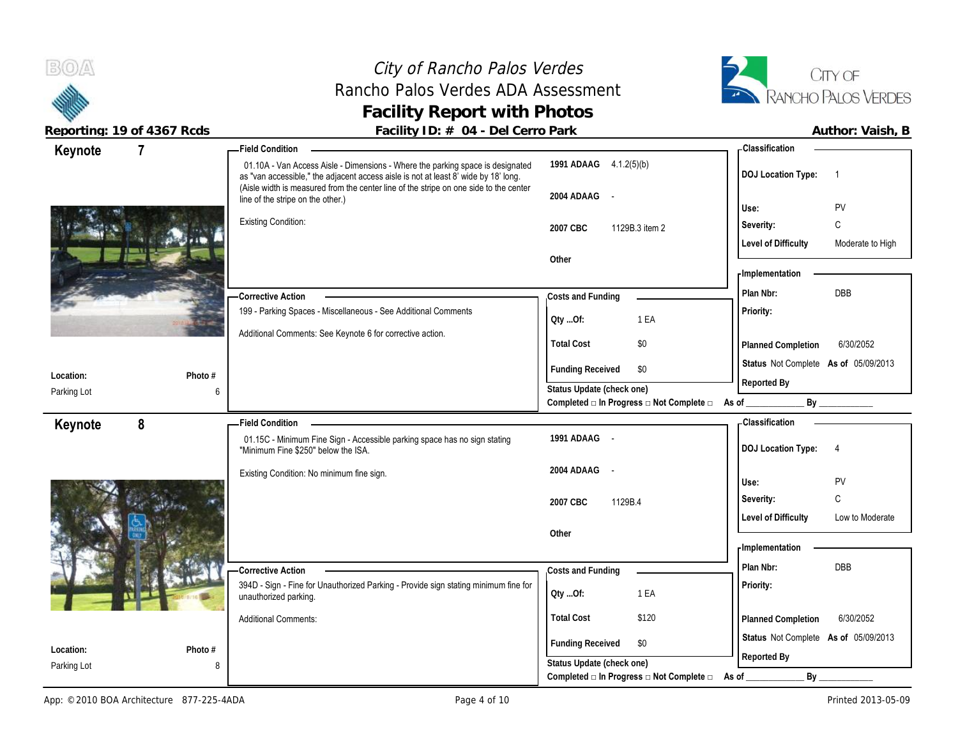**BOA** 

# City of Rancho Palos Verdes Rancho Palos Verdes ADA Assessment **Facility Report with Photos**



| Keynote                  | $\overline{7}$ | <b>Field Condition</b>                                                                                                                                                                                                                                         |                                                                               | <b>Classification</b>                          |
|--------------------------|----------------|----------------------------------------------------------------------------------------------------------------------------------------------------------------------------------------------------------------------------------------------------------------|-------------------------------------------------------------------------------|------------------------------------------------|
|                          |                | 01.10A - Van Access Aisle - Dimensions - Where the parking space is designated<br>as "van accessible," the adjacent access aisle is not at least 8' wide by 18' long.<br>(Aisle width is measured from the center line of the stripe on one side to the center | 1991 ADAAG 4.1.2(5)(b)                                                        | <b>DOJ Location Type:</b>                      |
|                          |                | line of the stripe on the other.)                                                                                                                                                                                                                              | 2004 ADAAG -                                                                  |                                                |
|                          |                | <b>Existing Condition:</b>                                                                                                                                                                                                                                     |                                                                               | PV<br>Use:                                     |
|                          |                |                                                                                                                                                                                                                                                                | 2007 CBC<br>1129B.3 item 2                                                    | Severity:<br>C                                 |
|                          |                |                                                                                                                                                                                                                                                                |                                                                               | <b>Level of Difficulty</b><br>Moderate to High |
|                          |                |                                                                                                                                                                                                                                                                | Other                                                                         | <b>Implementation</b>                          |
|                          |                |                                                                                                                                                                                                                                                                |                                                                               | <b>DBB</b><br>Plan Nbr:                        |
|                          |                | - Corrective Action<br>199 - Parking Spaces - Miscellaneous - See Additional Comments                                                                                                                                                                          | Costs and Funding                                                             | Priority:                                      |
|                          |                |                                                                                                                                                                                                                                                                | Oty Of:<br>1 EA                                                               |                                                |
|                          |                | Additional Comments: See Keynote 6 for corrective action.                                                                                                                                                                                                      | <b>Total Cost</b><br>\$0                                                      | 6/30/2052<br>Planned Completion                |
|                          |                |                                                                                                                                                                                                                                                                |                                                                               | Status Not Complete As of 05/09/2013           |
| Location:                | Photo #        |                                                                                                                                                                                                                                                                | <b>Funding Received</b><br>\$0                                                | Reported By                                    |
| Parking Lot              | 6              |                                                                                                                                                                                                                                                                | Status Update (check one)<br>Completed □ In Progress □ Not Complete □ As of _ | By                                             |
|                          | 8              | <b>Field Condition</b>                                                                                                                                                                                                                                         |                                                                               | - Classification                               |
| Keynote                  |                | 01.15C - Minimum Fine Sign - Accessible parking space has no sign stating<br>"Minimum Fine \$250" below the ISA.                                                                                                                                               | 1991 ADAAG -                                                                  | <b>DOJ Location Type:</b><br>4                 |
|                          |                |                                                                                                                                                                                                                                                                | 2004 ADAAG -                                                                  |                                                |
|                          |                | Existing Condition: No minimum fine sign.                                                                                                                                                                                                                      |                                                                               | Use:<br>PV                                     |
|                          |                |                                                                                                                                                                                                                                                                | 2007 CBC<br>1129B.4                                                           | C<br>Severity:                                 |
|                          |                |                                                                                                                                                                                                                                                                |                                                                               | <b>Level of Difficulty</b><br>Low to Moderate  |
|                          |                |                                                                                                                                                                                                                                                                |                                                                               |                                                |
|                          |                |                                                                                                                                                                                                                                                                | Other                                                                         |                                                |
|                          |                |                                                                                                                                                                                                                                                                |                                                                               | - Implementation                               |
|                          |                | <b>Corrective Action</b>                                                                                                                                                                                                                                       | Costs and Funding                                                             | Plan Nbr:<br><b>DBB</b>                        |
|                          |                | 394D - Sign - Fine for Unauthorized Parking - Provide sign stating minimum fine for<br>unauthorized parking.                                                                                                                                                   | 1 EA<br>Qty Of:                                                               | Priority:                                      |
|                          |                | <b>Additional Comments:</b>                                                                                                                                                                                                                                    | <b>Total Cost</b><br>\$120                                                    | 6/30/2052<br>Planned Completion                |
|                          |                |                                                                                                                                                                                                                                                                |                                                                               | Status Not Complete As of 05/09/2013           |
| Location:<br>Parking Lot | Photo #<br>8   |                                                                                                                                                                                                                                                                | <b>Funding Received</b><br>\$0<br>Status Update (check one)                   | Reported By                                    |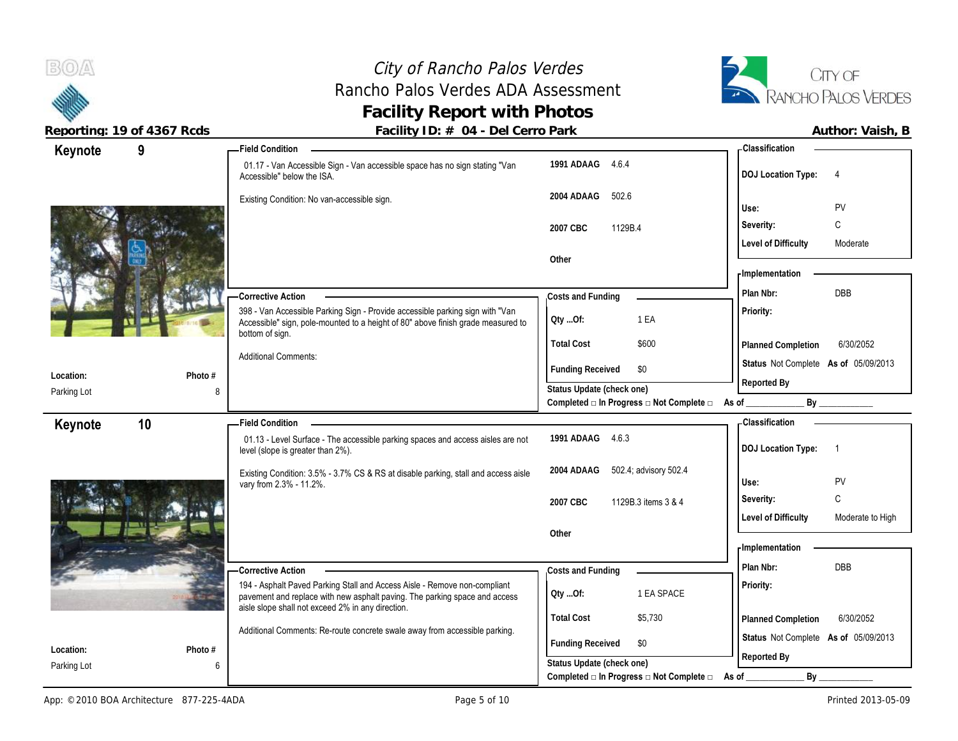**Location:** Parking Lot

Parking Lot

**Keynote**

# City of Rancho Palos Verdes Rancho Palos Verdes ADA Assessment **Facility Report with Photos**



**Reported By**

**Reported By**

Reporting: 19 of 4367 Rcds **Facility ID: # 04 - Del Cerro Park Facility ID: # 04 - Del Cerro Park Author: Vaish, B** 

|              | — Field Condition                                                                                                                                                 |                                | - Classification                       |
|--------------|-------------------------------------------------------------------------------------------------------------------------------------------------------------------|--------------------------------|----------------------------------------|
|              | 01.17 - Van Accessible Sign - Van accessible space has no sign stating "Van<br>Accessible" below the ISA.                                                         | 1991 ADAAG<br>4.6.4            | <b>DOJ</b> Location Type:<br>4         |
|              | Existing Condition: No van-accessible sign.                                                                                                                       | 2004 ADAAG<br>502.6            | PV<br>Use:                             |
|              |                                                                                                                                                                   | 1129B.4<br>2007 CBC            | C<br>Severity:                         |
|              |                                                                                                                                                                   |                                | <b>Level of Difficulty</b><br>Moderate |
|              |                                                                                                                                                                   | Other                          |                                        |
|              |                                                                                                                                                                   |                                | - Implementation                       |
|              | - Corrective Action                                                                                                                                               | Costs and Funding              | DBB<br>Plan Nbr:                       |
|              | 398 - Van Accessible Parking Sign - Provide accessible parking sign with "Van<br>Accessible" sign, pole-mounted to a height of 80" above finish grade measured to | 1 EA<br>$Qty$ $Of:$            | <b>Priority:</b>                       |
|              | bottom of sign.                                                                                                                                                   | <b>Total Cost</b><br>\$600     | 6/30/2052<br><b>Planned Completion</b> |
| $PL - L - H$ | <b>Additional Comments:</b>                                                                                                                                       | \$0<br><b>Funding Received</b> | Status Not Complete As of 05/09/2013   |

**Status Update (check one)**

**Status Update (check one)**

**Completed □ In Progress □ Not Complete □ As of \_\_\_\_\_\_\_\_\_\_\_\_\_ By \_\_\_\_\_\_\_\_\_\_\_\_**

Completed □ In Progress □ Not Complete □ As of \_\_\_\_\_\_\_\_\_\_\_\_\_\_\_\_\_ By 01.13 - Level Surface - The accessible parking spaces and access aisles are not level (slope is greater than 2%). Existing Condition: 3.5% - 3.7% CS & RS at disable parking, stall and access aisle 2004 ADAAG vary from 2.3% - 11.2%. 194 - Asphalt Paved Parking Stall and Access Aisle - Remove non-compliant (1)<br>navement and replace with new asphalt paving. The parking space and access (1) Qty ...Of: pavement and replace with new asphalt paving. The parking space and access aisle slope shall not exceed 2% in any direction. Additional Comments: Re-route concrete swale away from accessible parking. **Corrective Action Photo # 1991 ADAAG** 4.6.3 **2004** 502.4; advisory 502.4 **2007 CBC** 1129B.3 items 3 & 4 **Other Priority: Total Cost** \$5,730 **10 Field Condition Status** Not Complete **As of** 05/09/2013 **Keynote Costs and Funding Plan Nbr:** DBB **Use:** PV **Severity:** C **DOJ Location Type:** 1 **Level of Difficulty** Moderate to High **Location: Planned Completion** 6/30/2052 **Classification Implementation Funding Received \$0 Qty ...Of:** 1 EA SPACE

**Photo #**

8

6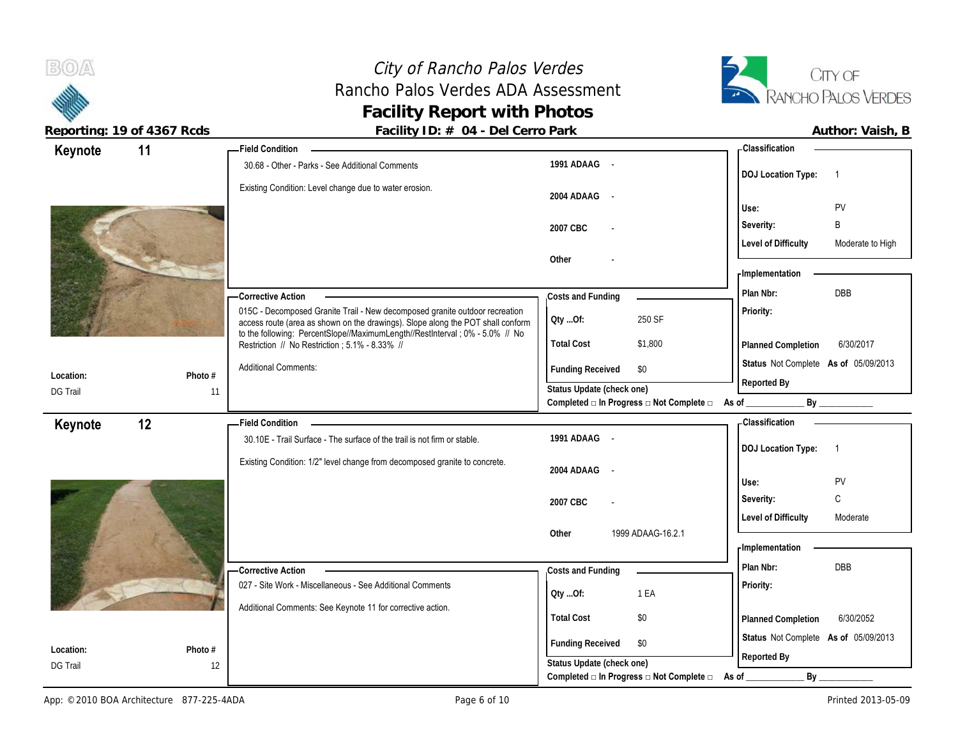# City of Rancho Palos Verdes Rancho Palos Verdes ADA Assessment **Facility Report with Photos**



**Reporting: 19 of 4367 Rcds Facility ID: # 04 - Del Cerro Park** 

| Author: Vaish, E |  |
|------------------|--|
|                  |  |

| Keynote         | 11      | - Field Condition                                                                                                                                                                                                                               |                                                                                                       | Classification                                      |
|-----------------|---------|-------------------------------------------------------------------------------------------------------------------------------------------------------------------------------------------------------------------------------------------------|-------------------------------------------------------------------------------------------------------|-----------------------------------------------------|
|                 |         | 30.68 - Other - Parks - See Additional Comments                                                                                                                                                                                                 | 1991 ADAAG -                                                                                          | <b>DOJ</b> Location Type:<br>$\overline{1}$         |
|                 |         | Existing Condition: Level change due to water erosion.                                                                                                                                                                                          | 2004 ADAAG -                                                                                          | PV<br>Use:                                          |
|                 |         |                                                                                                                                                                                                                                                 | 2007 CBC                                                                                              | B<br>Severity:                                      |
|                 |         |                                                                                                                                                                                                                                                 |                                                                                                       | <b>Level of Difficulty</b><br>Moderate to High      |
|                 |         |                                                                                                                                                                                                                                                 | Other                                                                                                 |                                                     |
|                 |         |                                                                                                                                                                                                                                                 |                                                                                                       | - Implementation                                    |
|                 |         | - Corrective Action                                                                                                                                                                                                                             | Costs and Funding                                                                                     | DBB<br>Plan Nbr:                                    |
|                 |         | 015C - Decomposed Granite Trail - New decomposed granite outdoor recreation<br>access route (area as shown on the drawings). Slope along the POT shall conform<br>to the following: PercentSlope//MaximumLength//RestInterval ; 0% - 5.0% // No | 250 SF<br>Qty Of:                                                                                     | Priority:                                           |
|                 |         | Restriction // No Restriction ; 5.1% - 8.33% //                                                                                                                                                                                                 | <b>Total Cost</b><br>\$1,800                                                                          | Planned Completion<br>6/30/2017                     |
| Location:       | Photo # | <b>Additional Comments:</b>                                                                                                                                                                                                                     | <b>Funding Received</b><br>\$0                                                                        | Status Not Complete As of 05/09/2013<br>Reported By |
| <b>DG Trail</b> | 11      |                                                                                                                                                                                                                                                 | Status Update (check one)<br>Completed $\square$ In Progress $\square$ Not Complete $\square$ As of _ |                                                     |
| Keynote         | 12      | <b>Field Condition</b>                                                                                                                                                                                                                          |                                                                                                       | <b>Classification</b>                               |
|                 |         | 30.10E - Trail Surface - The surface of the trail is not firm or stable.                                                                                                                                                                        | 1991 ADAAG -                                                                                          | <b>DOJ</b> Location Type:<br>$\overline{1}$         |
|                 |         | Existing Condition: 1/2" level change from decomposed granite to concrete.                                                                                                                                                                      | 2004 ADAAG -                                                                                          |                                                     |
|                 |         |                                                                                                                                                                                                                                                 |                                                                                                       | PV<br>Use:                                          |
|                 |         |                                                                                                                                                                                                                                                 | 2007 CBC                                                                                              | $\mathtt{C}$<br>Severity:                           |
|                 |         |                                                                                                                                                                                                                                                 | 1999 ADAAG-16.2.1<br>Other                                                                            | <b>Level of Difficulty</b><br>Moderate              |
|                 |         |                                                                                                                                                                                                                                                 |                                                                                                       | - Implementation                                    |
|                 |         | -Corrective Action                                                                                                                                                                                                                              | Costs and Funding                                                                                     | Plan Nbr:<br><b>DBB</b>                             |
|                 |         | 027 - Site Work - Miscellaneous - See Additional Comments                                                                                                                                                                                       |                                                                                                       | Priority:                                           |
|                 |         | Additional Comments: See Keynote 11 for corrective action.                                                                                                                                                                                      | 1 EA<br>Qty Of:                                                                                       |                                                     |
|                 |         |                                                                                                                                                                                                                                                 | <b>Total Cost</b><br>\$0                                                                              | 6/30/2052<br>Planned Completion                     |
|                 |         |                                                                                                                                                                                                                                                 | <b>Funding Received</b><br>\$0                                                                        | Status Not Complete As of 05/09/2013                |
| Location:       | Photo # |                                                                                                                                                                                                                                                 |                                                                                                       |                                                     |
| <b>DG Trail</b> | 12      |                                                                                                                                                                                                                                                 | Status Update (check one)<br>Completed $\square$ In Progress $\square$ Not Complete $\square$         | Reported By<br>By<br>As of                          |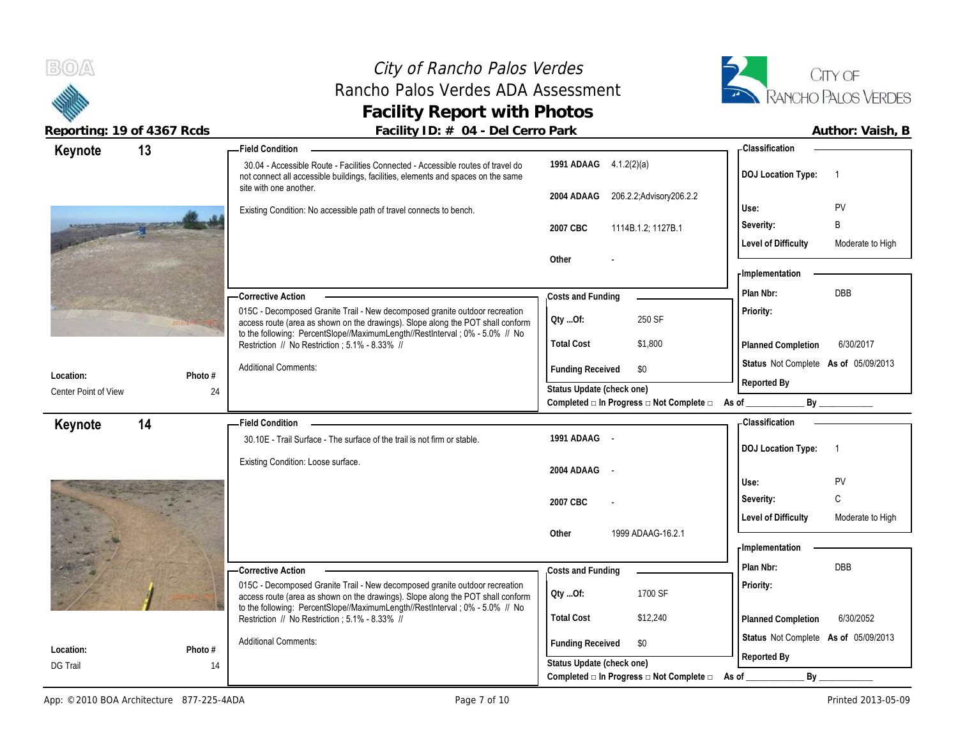

**Location:** DG Trail

# City of Rancho Palos Verdes Rancho Palos Verdes ADA Assessment **Facility Report with Photos**



Reporting: 19 of 4367 Rcds **Facility ID: # 04 - Del Cerro Park Author: Vaish, B** Author: Vaish, B

| Keynote              | 13      | - Field Condition                                                                                                                                                     |                                                               | <b>Classification</b>                          |
|----------------------|---------|-----------------------------------------------------------------------------------------------------------------------------------------------------------------------|---------------------------------------------------------------|------------------------------------------------|
|                      |         | 30.04 - Accessible Route - Facilities Connected - Accessible routes of travel do<br>not connect all accessible buildings, facilities, elements and spaces on the same | 1991 ADAAG 4.1.2(2)(a)                                        | <b>DOJ Location Type:</b><br>-1                |
|                      |         | site with one another.                                                                                                                                                | 206.2.2; Advisory 206.2.2<br>2004 ADAAG                       |                                                |
|                      |         | Existing Condition: No accessible path of travel connects to bench.                                                                                                   |                                                               | PV<br>Use:                                     |
|                      |         |                                                                                                                                                                       | 2007 CBC<br>1114B.1.2; 1127B.1                                | B<br>Severity:                                 |
|                      |         |                                                                                                                                                                       | Other                                                         | <b>Level of Difficulty</b><br>Moderate to High |
|                      |         |                                                                                                                                                                       |                                                               | - Implementation                               |
|                      |         | - Corrective Action                                                                                                                                                   |                                                               | DBB<br>Plan Nbr:                               |
|                      |         | 015C - Decomposed Granite Trail - New decomposed granite outdoor recreation<br>access route (area as shown on the drawings). Slope along the POT shall conform        | Costs and Funding<br>250 SF<br>QtyOf:                         | Priority:                                      |
|                      |         | to the following: PercentSlope//MaximumLength//RestInterval; 0% - 5.0% // No<br>Restriction // No Restriction ; 5.1% - 8.33% //                                       | <b>Total Cost</b><br>\$1,800                                  | 6/30/2017<br>Planned Completion                |
| Location:            | Photo # | <b>Additional Comments:</b>                                                                                                                                           | <b>Funding Received</b><br>\$0                                | Status Not Complete As of 05/09/2013           |
| Center Point of View | 24      |                                                                                                                                                                       | Status Update (check one)                                     | Reported By                                    |
|                      |         |                                                                                                                                                                       | Completed $\Box$ In Progress $\Box$ Not Complete $\Box$ As of | By                                             |
| Keynote              | 14      | <b>Field Condition</b>                                                                                                                                                |                                                               | <b>Classification</b>                          |
|                      |         | 30.10E - Trail Surface - The surface of the trail is not firm or stable.                                                                                              | 1991 ADAAG -                                                  | <b>DOJ Location Type:</b><br>$\overline{1}$    |
|                      |         | Existing Condition: Loose surface.                                                                                                                                    | 2004 ADAAG -                                                  |                                                |
|                      |         |                                                                                                                                                                       |                                                               | PV<br>Use:                                     |
|                      |         |                                                                                                                                                                       | 2007 CBC                                                      | C<br>Severity:                                 |
|                      |         |                                                                                                                                                                       | Other<br>1999 ADAAG-16.2.1                                    | <b>Level of Difficulty</b><br>Moderate to High |
|                      |         |                                                                                                                                                                       |                                                               | <b>Implementation</b>                          |
|                      |         | - Corrective Action                                                                                                                                                   | Costs and Funding                                             | Plan Nbr:<br><b>DBB</b>                        |
|                      |         | 015C - Decomposed Granite Trail - New decomposed granite outdoor recreation<br>access route (area as shown on the drawings). Slope along the POT shall conform        | 1700 SF<br>QtyOf:                                             | Priority:                                      |
|                      |         | to the following: PercentSlope//MaximumLength//RestInterval ; 0% - 5.0% // No<br>Restriction // No Restriction ; 5.1% - 8.33% //                                      | <b>Total Cost</b><br>\$12,240                                 | <b>Planned Completion</b><br>6/30/2052         |
| Location:            | Photo # | <b>Additional Comments:</b>                                                                                                                                           | <b>Funding Received</b><br>\$0                                | Status Not Complete As of 05/09/2013           |
|                      |         |                                                                                                                                                                       | Ctatus Undata (check ana)                                     | Reported By                                    |

14

**Status Update (check one)**

**Completed □ In Progress □ Not Complete □ As of \_\_\_\_\_\_\_\_\_\_\_\_\_ By \_\_\_\_\_\_\_\_\_\_\_\_**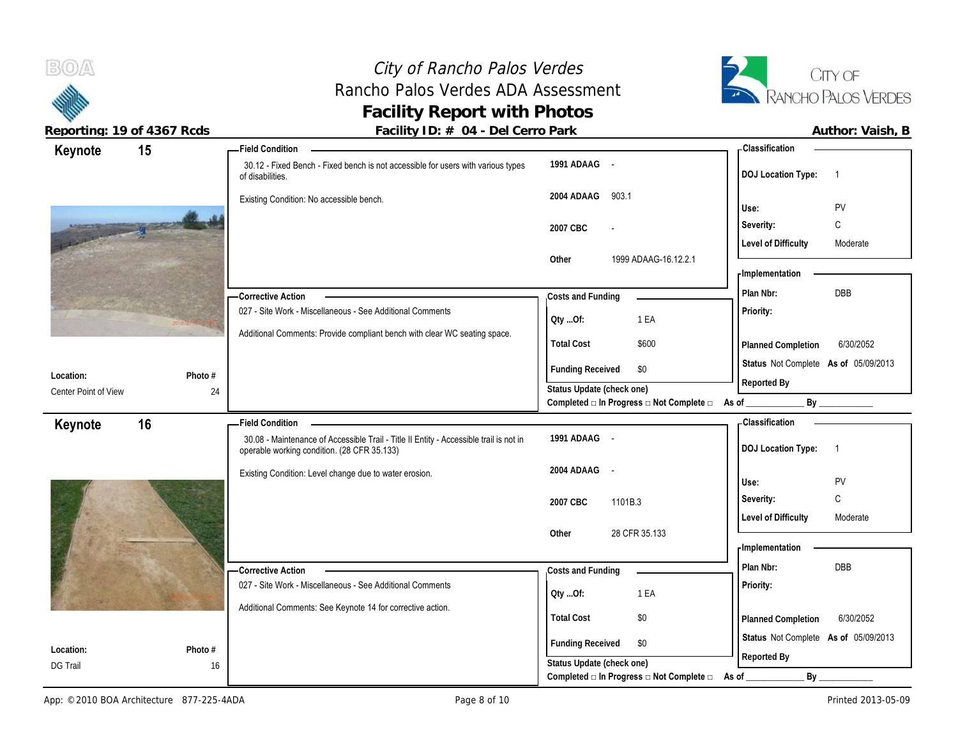# City of Rancho Palos Verdes Rancho Palos Verdes ADA Assessment **Facility Report with Photos**



| Keynote                      | 15            | <b>Field Condition</b>                                                                                           |                                          | - Classification                            |
|------------------------------|---------------|------------------------------------------------------------------------------------------------------------------|------------------------------------------|---------------------------------------------|
|                              |               | 30.12 - Fixed Bench - Fixed bench is not accessible for users with various types<br>of disabilities.             | 1991 ADAAG -                             | <b>DOJ Location Type:</b><br>$\overline{1}$ |
|                              |               | Existing Condition: No accessible bench.                                                                         | 2004 ADAAG<br>903.1                      | PV<br>Use:                                  |
| <b>Magnetia</b>              |               |                                                                                                                  | 2007 CBC<br>$\overline{\phantom{a}}$     | C<br>Severity:                              |
|                              |               |                                                                                                                  |                                          | <b>Level of Difficulty</b><br>Moderate      |
|                              |               |                                                                                                                  | 1999 ADAAG-16.12.2.1<br>Other            |                                             |
|                              |               |                                                                                                                  |                                          | - Implementation                            |
|                              |               | - Corrective Action                                                                                              | Costs and Funding                        | <b>DBB</b><br>Plan Nbr:                     |
|                              |               | 027 - Site Work - Miscellaneous - See Additional Comments                                                        | 1 EA<br>Oty Of:                          | Priority:                                   |
|                              |               | Additional Comments: Provide compliant bench with clear WC seating space.                                        | <b>Total Cost</b><br>\$600               | 6/30/2052                                   |
|                              |               |                                                                                                                  |                                          | Planned Completion                          |
| Location:                    | Photo #       |                                                                                                                  | <b>Funding Received</b><br>\$0           | Status Not Complete As of 05/09/2013        |
| Center Point of View         | 24            |                                                                                                                  | Status Update (check one)                | Reported By                                 |
|                              |               |                                                                                                                  | Completed □ In Progress □ Not Complete □ | By                                          |
| Keynote                      | 16            | <b>Field Condition</b><br>30.08 - Maintenance of Accessible Trail - Title II Entity - Accessible trail is not in | 1991 ADAAG -                             | - Classification                            |
|                              |               |                                                                                                                  |                                          |                                             |
|                              |               | operable working condition. (28 CFR 35.133)                                                                      |                                          | <b>DOJ Location Type:</b><br>$\overline{1}$ |
|                              |               |                                                                                                                  | 2004 ADAAG<br>$\sim$ $-$                 |                                             |
|                              |               | Existing Condition: Level change due to water erosion.                                                           |                                          | PV<br>Use:                                  |
|                              |               |                                                                                                                  | 2007 CBC<br>1101B.3                      | C<br>Severity:                              |
|                              |               |                                                                                                                  |                                          | <b>Level of Difficulty</b><br>Moderate      |
|                              |               |                                                                                                                  | 28 CFR 35.133<br>Other                   | - Implementation                            |
|                              |               |                                                                                                                  |                                          | DBB<br>Plan Nbr:                            |
|                              |               | -Corrective Action<br>027 - Site Work - Miscellaneous - See Additional Comments                                  | Costs and Funding                        | Priority:                                   |
|                              |               |                                                                                                                  | 1 EA<br>Qty Of:                          |                                             |
|                              |               | Additional Comments: See Keynote 14 for corrective action.                                                       | <b>Total Cost</b><br>\$0                 | 6/30/2052<br>Planned Completion             |
|                              |               |                                                                                                                  | <b>Funding Received</b><br>\$0           | Status Not Complete As of 05/09/2013        |
| Location:<br><b>DG Trail</b> | Photo #<br>16 |                                                                                                                  | Status Update (check one)                | Reported By                                 |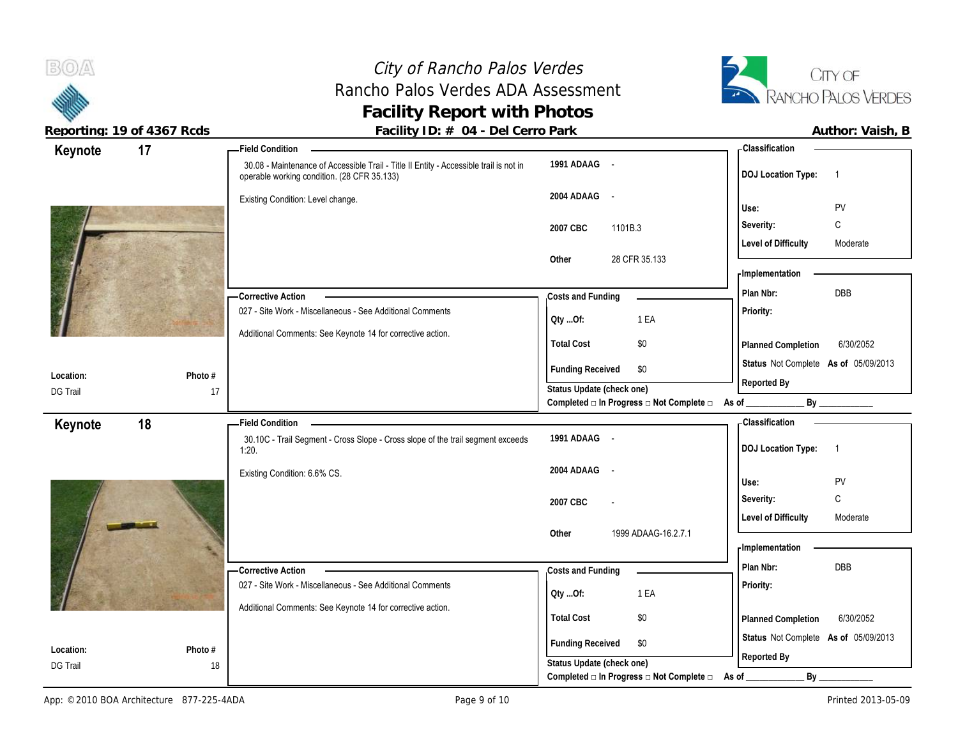# City of Rancho Palos Verdes Rancho Palos Verdes ADA Assessment **Facility Report with Photos**



| Keynote         | 17      | - Field Condition                                                                                                                     |                                                                          | - Classification                            |
|-----------------|---------|---------------------------------------------------------------------------------------------------------------------------------------|--------------------------------------------------------------------------|---------------------------------------------|
|                 |         | 30.08 - Maintenance of Accessible Trail - Title II Entity - Accessible trail is not in<br>operable working condition. (28 CFR 35.133) | 1991 ADAAG -                                                             | <b>DOJ</b> Location Type:<br>$\overline{1}$ |
|                 |         | Existing Condition: Level change.                                                                                                     | 2004 ADAAG -                                                             |                                             |
|                 |         |                                                                                                                                       |                                                                          | PV<br>Use:                                  |
|                 |         |                                                                                                                                       | 2007 CBC<br>1101B.3                                                      | C<br>Severity:                              |
|                 |         |                                                                                                                                       | 28 CFR 35.133<br>Other                                                   | <b>Level of Difficulty</b><br>Moderate      |
|                 |         |                                                                                                                                       |                                                                          | - Implementation                            |
|                 |         |                                                                                                                                       |                                                                          | DBB<br>Plan Nbr:                            |
|                 |         | <b>Corrective Action</b><br>027 - Site Work - Miscellaneous - See Additional Comments                                                 | Costs and Funding                                                        | Priority:                                   |
|                 |         |                                                                                                                                       | 1 EA<br>Oty Of:                                                          |                                             |
|                 |         | Additional Comments: See Keynote 14 for corrective action.                                                                            | <b>Total Cost</b><br>\$0                                                 | 6/30/2052<br>Planned Completion             |
| Location:       | Photo # |                                                                                                                                       | <b>Funding Received</b><br>\$0                                           | Status Not Complete As of 05/09/2013        |
| <b>DG Trail</b> | 17      |                                                                                                                                       | Status Update (check one)                                                | Reported By                                 |
|                 |         |                                                                                                                                       | Completed $\square$ In Progress $\square$ Not Complete $\square$ As of _ | By                                          |
| Keynote         | 18      | <b>Field Condition</b>                                                                                                                |                                                                          | - Classification                            |
|                 |         | 30.10C - Trail Segment - Cross Slope - Cross slope of the trail segment exceeds<br>1:20.                                              | 1991 ADAAG -                                                             | <b>DOJ Location Type:</b><br>$\overline{1}$ |
|                 |         |                                                                                                                                       | 2004 ADAAG -                                                             |                                             |
|                 |         | Existing Condition: 6.6% CS.                                                                                                          |                                                                          |                                             |
|                 |         |                                                                                                                                       |                                                                          | PV<br>Use:                                  |
|                 |         |                                                                                                                                       | 2007 CBC                                                                 | C<br>Severity:                              |
|                 |         |                                                                                                                                       |                                                                          | <b>Level of Difficulty</b><br>Moderate      |
|                 |         |                                                                                                                                       | 1999 ADAAG-16.2.7.1<br>Other                                             |                                             |
|                 |         |                                                                                                                                       |                                                                          | - Implementation                            |
|                 |         | <b>Corrective Action</b>                                                                                                              | Costs and Funding                                                        | Plan Nbr:<br>DBB                            |
|                 |         | 027 - Site Work - Miscellaneous - See Additional Comments                                                                             | 1 EA<br>QtyOf:                                                           | Priority:                                   |
|                 |         | Additional Comments: See Keynote 14 for corrective action.                                                                            | <b>Total Cost</b><br>\$0                                                 | 6/30/2052                                   |
|                 |         |                                                                                                                                       |                                                                          | Planned Completion                          |
| Location:       | Photo # |                                                                                                                                       | <b>Funding Received</b><br>\$0                                           | Status Not Complete As of 05/09/2013        |
| <b>DG Trail</b> | 18      |                                                                                                                                       | Status Update (check one)<br>Completed □ In Progress □ Not Complete □    | Reported By<br>By<br>As of                  |